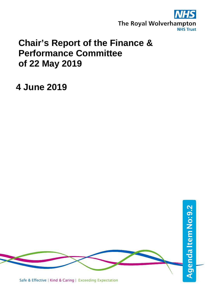

# **Chair's Report of the Finance & Performance Committee of 22 May 2019**

## **4 June 2019**

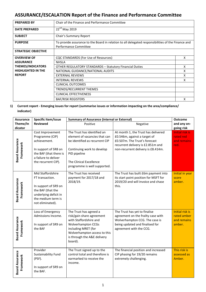## **ASSURANCE/ESCALATION Report of the Finance and Performance Committee**

| <b>PREPARED BY</b>         | Chair of the Finance and Performance Committee                                                                              |   |  |  |
|----------------------------|-----------------------------------------------------------------------------------------------------------------------------|---|--|--|
| <b>DATE PREPARED</b>       | 22 <sup>nd</sup> May 2019                                                                                                   |   |  |  |
| <b>SUBJECT</b>             | Chair's Summary Report                                                                                                      |   |  |  |
| <b>PURPOSE</b>             | To provide assurance to the Board in relation to all delegated responsibilities of the Finance and<br>Performance Committee |   |  |  |
| <b>STRATEGIC OBJECTIVE</b> |                                                                                                                             |   |  |  |
| <b>OVERVIEW OF</b>         | CQC STANDARDS (For Use of Resources)                                                                                        | X |  |  |
| <b>ASSURANCE</b>           | <b>NHSLA</b>                                                                                                                |   |  |  |
| <b>THEMES/INDICATORS</b>   | X<br><b>OTHER REGULATORY STANDARDS - Statutory Financial Duties</b>                                                         |   |  |  |
| <b>HIGHLIGHTED IN THE</b>  | NATIONAL GUIDANCE/NATIONAL AUDITS                                                                                           |   |  |  |
| <b>REPORT</b>              | <b>EXTERNAL REVIEWS</b>                                                                                                     | x |  |  |
|                            | <b>INTERNAL REVIEWS</b>                                                                                                     | x |  |  |
|                            | CLINICAL OUTCOMES                                                                                                           |   |  |  |
|                            | TRENDS/RECURRENT THEMES                                                                                                     |   |  |  |
|                            | <b>CLINICAL EFFECTIVENESS</b>                                                                                               |   |  |  |
|                            | <b>BAF/RISK REGISTERS</b>                                                                                                   | x |  |  |

### **1) Current report - Emerging issues for report (summarise issues or information impacting on the area/compliance/ indicator)**

| <b>Specific Item/issue</b><br><b>Assurance</b> |                                                                                                                                                      | <b>Summary of Assurance (internal or External)</b>                                                                                                                                                          | <b>Outcome</b>                                                                                                                                                                  |                                                                |
|------------------------------------------------|------------------------------------------------------------------------------------------------------------------------------------------------------|-------------------------------------------------------------------------------------------------------------------------------------------------------------------------------------------------------------|---------------------------------------------------------------------------------------------------------------------------------------------------------------------------------|----------------------------------------------------------------|
| Theme/In                                       | <b>Reviewed</b>                                                                                                                                      | Positive                                                                                                                                                                                                    | Negative                                                                                                                                                                        | and any on-                                                    |
| dicator                                        |                                                                                                                                                      |                                                                                                                                                                                                             |                                                                                                                                                                                 | going risk                                                     |
| <b>Board Assurance</b><br>Framework            | Cost Improvement<br>Programme (CIP)<br>achievement.<br>In support of SR8 on<br>the BAF (that there is<br>a failure to deliver                        | The Trust has identified an<br>element of vacancies that can<br>be identified as recurrent CIP<br>Continuing work to develop<br>PID pipeline                                                                | At month 1, the Trust has delivered<br>£0.546m, against a target of<br>£0.507m. The Trust's forecast<br>recurrent delivery is £2.851m and<br>non-recurrent delivery is £8.414m. | <b>Initial risk is</b><br>rated red<br>and remains<br>red.     |
|                                                | the recurrent CIP).                                                                                                                                  | The Clinical Excellence<br>programme is well supported.                                                                                                                                                     |                                                                                                                                                                                 |                                                                |
| <b>Board Assurance</b><br>Framework            | Mid Staffordshire<br>FT transaction.<br>In support of SR9 on<br>the BAF (that the<br>underlying deficit in<br>the medium term is<br>not eliminated). | The Trust has received<br>payment for 2017/18 and<br>2018/19.                                                                                                                                               | The Trust has built £6m payment into<br>its start point position for MSFT for<br>2019/20 and will invoice and chase<br>this.                                                    | Initial in year<br>score<br>amber.                             |
| <b>Board Assurance</b><br>Framework            | Loss of Emergency<br>Admissions Income.<br>In support of SR9 on<br>the BAF                                                                           | The Trust has agreed a<br>risk/gain share agreement<br>with Staffordshire and<br><b>Wolverhampton CCGs</b><br>including MRET (for<br>Wolverhampton access to this<br>is through the A&E delivery<br>board). | The Trust has yet to finalise<br>agreement on the frailty case with<br>Wolverhampton CCG. The case is<br>being updated and finalised for<br>agreement with the CCG.             | <b>Initial risk is</b><br>rated amber<br>and remains<br>amber. |
| <b>Board Assurance</b><br>Framework            | Provider<br>Sustainability Fund<br>(PSF).<br>In support of SR9 on<br>the BAF.                                                                        | The Trust signed up to the<br>control total and therefore is<br>earmarked to receive the<br>income.                                                                                                         | The financial position and increased<br>CIP phasing for 19/20 remains<br>extremely challenging.                                                                                 | This risk is<br>assessed as<br>Amber.                          |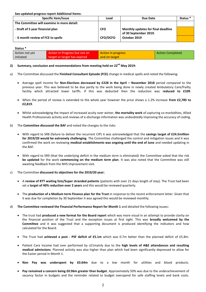**See updated progress report Additional Items:**

| <b>Specific item/Issue</b>                 | Lead            | Due Date                                                    | Status <sup>*</sup> |
|--------------------------------------------|-----------------|-------------------------------------------------------------|---------------------|
| The Committee will examine in more detail: |                 |                                                             |                     |
| - Draft of 5 year financial plan           | <b>CFO</b>      | Monthly updates for final deadline<br>of 30 September 2019. |                     |
| - 6 month review of FCE to spells          | <b>CFO/DCFO</b> | October 2019                                                |                     |

| Status <sup>*</sup> |                               |                    |                         |  |  |  |  |
|---------------------|-------------------------------|--------------------|-------------------------|--|--|--|--|
| Action not yet      | Action In Progress but not on | Action in progress | <b>Action Completed</b> |  |  |  |  |
| initiated           | target or target has expired  | and on target      |                         |  |  |  |  |

### **2) Summary, conclusion and recommendations from meeting held on 22nd May 2019:**

- a) The Committee discussed the **Finished Consultant Episode (FCE)** change in medical spells and noted the following:
	- Average spell income for **Non-Electives decreased by £228 in the April – November 2018** period compared to the previous year. This was believed to be due partly to the work being done in newly created Ambulatory Care/frailty facility which attracted lower tariffs. If this was deducted then the reduction was **reduced to £109**.
	- When the period of review is extended to the whole year however the price shows a 1.2% increase **from £2,785 to £2,819**.
	- Whilst acknowledging the impact of increased acuity over winter, **the mortality work** of capturing co-morbidities, Allied Health Professionals activity and reviews of e-discharge information was undoubtedly improving the accuracy of coding.
- b) The **Committee discussed the BAF** and noted the changes to the risks:
	- With regard to SR8 (failure to deliver the recurrent CIP) it was acknowledged that the **savings target of £24.5million for 2019/20 would be extremely challenging**. The Committee challenged the control and mitigation issues and it was confirmed the work on reviewing **medical establishments was ongoing until the end of June** and needed updating in the BAF.
	- With regard to SR9 (that the underlying deficit in the medium term is eliminated) the Committee asked that the risk **be updated** for the work **commencing on the medium term plan**. It was also noted that the Committee was still awaiting feedback from the NHS Improvement visit.
- c) The Committee **discussed its objectives for the 2019/20 year:**
	- A **review of RTT waiting lists/Super stranded patients** (patients with over 21 days length of stay). The Trust had been set a **target of 40% reduction over 2 years** and this would be reviewed quarterly.
	- The **production of a Medium term Finance plan for the Trust** in response to the recent enforcement letter. Given that it was due for completion by 30 September it was agreed this would be reviewed monthly.
- d) **The Committee reviewed the Financial Performance Report for Month 1** and detailed the following issues**:**
	- The trust had **produced a new format for the Board report** which was more visual in an attempt to provide clarity on the financial position of the Trust and the exception issues at first sight. This was **broadly welcomed by the Committee** and it was suggested that a supporting document is produced identifying the indicators and how calculated for the Board.
	- The Trust had **achieved a post - PSF deficit of £5.1m** which was 0.7m better than the planned deficit of £5.8m.
	- Patient Care Income had over performed by c£1mainly due to the **high levels of A&E attendances and resulting medical admissions**. Planned activity was also higher than plan which had been significantly depressed to allow for the Easter period in Month 1.
	- **Non Pay was underspent by £0.64m** due to a low month for utilities and blood products.
	- **Pay remained a concern being £0.96m greater than budget**. Approximately 50% was due to the underachievement of vacancy factor in budgets and the reminder related to budget overspend for safe staffing levels and bank costs.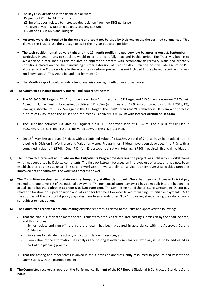- The **key risks identified** in the financial plan were:
	- Payment of £6m for MSFT support
	- £5.1m of support related to increased depreciation from new RICS guidance
	- The level of vacancy factor in budgets totalling £13.5m.
	- £6.7m of risks in Divisional budgets
- **Reserves were also detailed in the report** and could not be used by Divisions unless the cost had commenced. This allowed the Trust to use the slippage to assist the in year budgeted position.
- **The cash position remained very tight and the 12 month profile showed very low balances in August/September** in particular. Payment runs to suppliers would need to be carefully managed in this period. The Trust was hoping to avoid taking a cash loan as this requires an application process with accompanying recovery plans and probably conditions placed on the Trust (including further extension of creditor days). On the positive side £4.8m of PSF allocated to the Trust very late in the accounts closedown process was not included in the phased report as this was not known about. This would be updated for month 2.
- The Month 2 report would include a trend analysis showing month on month variances.
- **e)** The **Committee Finance Recovery Board (FRB) report** noting that:
	- The 2019/20 CIP Target is £24.5m, broken down into £11m recurrent CIP Target and £13.5m non-recurrent CIP Target. At month 1, the Trust is forecasting to deliver £11.265m (an increase of £7.927m compared to month 1 2018/19), leaving a shortfall of £13.235m against the CIP Target. The Trust's recurrent YTD delivery is £0.121m with forecast outturn of £2.851m and the Trust's non-recurrent YTD delivery is £0.425m with forecast outturn of £8.414m.
	- The Trust has delivered £0.546m YTD against a YTD FRB Approved Plan of £0.545m. The YTD Trust CIP Plan is £0.507m. As a result, the Trust has delivered 108% of the YTD Trust Plan.
	- On  $15^{th}$  May FRB approved 27 ideas with a combined value of £5.365m. A total of 7 ideas have been added to the pipeline in Division 3, Workforce and Value for Money Programmes, 5 ideas have been developed into PIDs with a combined value of £374k. One PID for Endoscopy Utilisation totalling £750k required financial validation.
- f) The Committee **received an update on the Outpatients Programme** detailing the project was split into 2 workstreams which was supported by Deloitte consultants. The first workstream focussed on improved use of assets and had now been established as business as usual. The second workstream involved clinical service redesign over 8 specialties targeting improved patient pathways. The work was progressing well.
- g) The Committee **received an update on the Temporary staffing dashboard**. There had been an increase in total pay expenditure due to year 2 of the national pay award. The non-consolidated pay award has been built into the budget and actual spend but the **budget in addition was £1m overspent**. The Committee noted the pressure surrounding Doctor pay related to taxation on superannuation annually and for lifetime allowances linked to waiting list initiative payments. With the approval of the waiting list policy pay rates have been standardised 3 to 1. However, standardising the rate of pay is still subject to negotiation.
- h) The **Committee received a national costing exercise** report as it related to the Trust and approved the following:
	- That the plan is sufficient to meet the requirements to produce the required costing submission by the deadline date, and this includes:
		- Senior review and sign-off to ensure the return has been prepared in accordance with the Approved Costing Guidance
		- Processes to validate the activity and costing data with services; and
		- Completion of the Information Gap analysis and costing standards gap analysis, with any issues to be addressed as part of the planning process
	- That the costing and other teams involved in the submission are sufficiently resourced to produce and validate the submissions with the planned timeline.
- i) **The Committee received a report on the Performance Element of the IQP Report** (National & Contractual Standards) and noted: